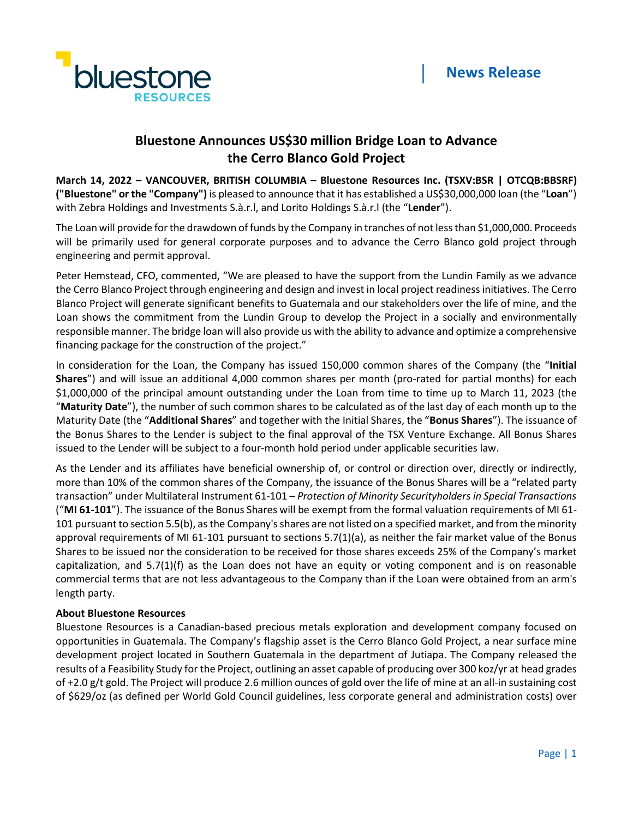

# **Bluestone Announces US\$30 million Bridge Loan to Advance the Cerro Blanco Gold Project**

**March 14, 2022 – VANCOUVER, BRITISH COLUMBIA – Bluestone Resources Inc. (TSXV:BSR | OTCQB:BBSRF) ("Bluestone" or the "Company")** is pleased to announce that it has established a US\$30,000,000 loan (the "**Loan**") with Zebra Holdings and Investments S.à.r.l, and Lorito Holdings S.à.r.l (the "**Lender**").

The Loan will provide for the drawdown of funds by the Company in tranches of not less than \$1,000,000. Proceeds will be primarily used for general corporate purposes and to advance the Cerro Blanco gold project through engineering and permit approval.

Peter Hemstead, CFO, commented, "We are pleased to have the support from the Lundin Family as we advance the Cerro Blanco Project through engineering and design and invest in local project readiness initiatives. The Cerro Blanco Project will generate significant benefits to Guatemala and our stakeholders over the life of mine, and the Loan shows the commitment from the Lundin Group to develop the Project in a socially and environmentally responsible manner. The bridge loan will also provide us with the ability to advance and optimize a comprehensive financing package for the construction of the project."

In consideration for the Loan, the Company has issued 150,000 common shares of the Company (the "**Initial Shares**") and will issue an additional 4,000 common shares per month (pro-rated for partial months) for each \$1,000,000 of the principal amount outstanding under the Loan from time to time up to March 11, 2023 (the "**Maturity Date**"), the number of such common shares to be calculated as of the last day of each month up to the Maturity Date (the "**Additional Shares**" and together with the Initial Shares, the "**Bonus Shares**"). The issuance of the Bonus Shares to the Lender is subject to the final approval of the TSX Venture Exchange. All Bonus Shares issued to the Lender will be subject to a four-month hold period under applicable securities law.

As the Lender and its affiliates have beneficial ownership of, or control or direction over, directly or indirectly, more than 10% of the common shares of the Company, the issuance of the Bonus Shares will be a "related party transaction" under Multilateral Instrument 61-101 – *Protection of Minority Securityholders in Special Transactions* ("**MI 61-101**"). The issuance of the Bonus Shares will be exempt from the formal valuation requirements of MI 61- 101 pursuant to section 5.5(b), as the Company's shares are not listed on a specified market, and from the minority approval requirements of MI 61-101 pursuant to sections 5.7(1)(a), as neither the fair market value of the Bonus Shares to be issued nor the consideration to be received for those shares exceeds 25% of the Company's market capitalization, and 5.7(1)(f) as the Loan does not have an equity or voting component and is on reasonable commercial terms that are not less advantageous to the Company than if the Loan were obtained from an arm's length party.

# **About Bluestone Resources**

Bluestone Resources is a Canadian-based precious metals exploration and development company focused on opportunities in Guatemala. The Company's flagship asset is the Cerro Blanco Gold Project, a near surface mine development project located in Southern Guatemala in the department of Jutiapa. The Company released the results of a Feasibility Study for the Project, outlining an asset capable of producing over 300 koz/yr at head grades of +2.0 g/t gold. The Project will produce 2.6 million ounces of gold over the life of mine at an all-in sustaining cost of \$629/oz (as defined per World Gold Council guidelines, less corporate general and administration costs) over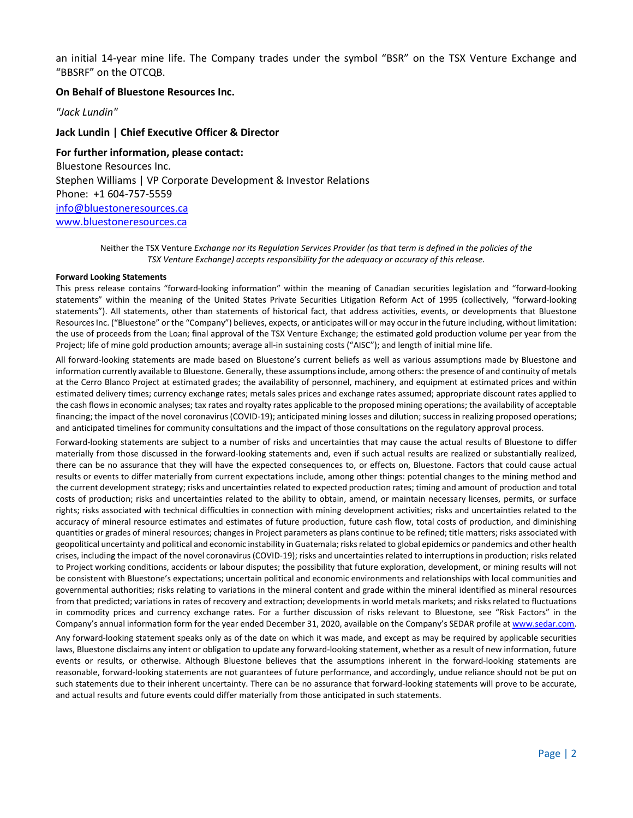an initial 14-year mine life. The Company trades under the symbol "BSR" on the TSX Venture Exchange and "BBSRF" on the OTCQB.

## **On Behalf of Bluestone Resources Inc.**

*"Jack Lundin"*

## **Jack Lundin | Chief Executive Officer & Director**

**For further information, please contact:** Bluestone Resources Inc. Stephen Williams | VP Corporate Development & Investor Relations Phone: +1 604-757-5559 [info@bluestoneresources.ca](mailto:info@bluestoneresources.ca) [www.bluestoneresources.ca](http://www.bluestoneresources.ca/) 

> Neither the TSX Venture *Exchange nor its Regulation Services Provider (as that term is defined in the policies of the TSX Venture Exchange) accepts responsibility for the adequacy or accuracy of this release.*

#### **Forward Looking Statements**

This press release contains "forward-looking information" within the meaning of Canadian securities legislation and "forward-looking statements" within the meaning of the United States Private Securities Litigation Reform Act of 1995 (collectively, "forward-looking statements"). All statements, other than statements of historical fact, that address activities, events, or developments that Bluestone Resources Inc. ("Bluestone" or the "Company") believes, expects, or anticipates will or may occur in the future including, without limitation: the use of proceeds from the Loan; final approval of the TSX Venture Exchange; the estimated gold production volume per year from the Project; life of mine gold production amounts; average all-in sustaining costs ("AISC"); and length of initial mine life.

All forward-looking statements are made based on Bluestone's current beliefs as well as various assumptions made by Bluestone and information currently available to Bluestone. Generally, these assumptions include, among others: the presence of and continuity of metals at the Cerro Blanco Project at estimated grades; the availability of personnel, machinery, and equipment at estimated prices and within estimated delivery times; currency exchange rates; metals sales prices and exchange rates assumed; appropriate discount rates applied to the cash flows in economic analyses; tax rates and royalty rates applicable to the proposed mining operations; the availability of acceptable financing; the impact of the novel coronavirus (COVID-19); anticipated mining losses and dilution; success in realizing proposed operations; and anticipated timelines for community consultations and the impact of those consultations on the regulatory approval process.

Forward-looking statements are subject to a number of risks and uncertainties that may cause the actual results of Bluestone to differ materially from those discussed in the forward-looking statements and, even if such actual results are realized or substantially realized, there can be no assurance that they will have the expected consequences to, or effects on, Bluestone. Factors that could cause actual results or events to differ materially from current expectations include, among other things: potential changes to the mining method and the current development strategy; risks and uncertainties related to expected production rates; timing and amount of production and total costs of production; risks and uncertainties related to the ability to obtain, amend, or maintain necessary licenses, permits, or surface rights; risks associated with technical difficulties in connection with mining development activities; risks and uncertainties related to the accuracy of mineral resource estimates and estimates of future production, future cash flow, total costs of production, and diminishing quantities or grades of mineral resources; changes in Project parameters as plans continue to be refined; title matters; risks associated with geopolitical uncertainty and political and economic instability in Guatemala; risks related to global epidemics or pandemics and other health crises, including the impact of the novel coronavirus (COVID-19); risks and uncertainties related to interruptions in production; risks related to Project working conditions, accidents or labour disputes; the possibility that future exploration, development, or mining results will not be consistent with Bluestone's expectations; uncertain political and economic environments and relationships with local communities and governmental authorities; risks relating to variations in the mineral content and grade within the mineral identified as mineral resources from that predicted; variations in rates of recovery and extraction; developments in world metals markets; and risks related to fluctuations in commodity prices and currency exchange rates. For a further discussion of risks relevant to Bluestone, see "Risk Factors" in the Company's annual information form for the year ended December 31, 2020, available on the Company's SEDAR profile a[t www.sedar.com.](http://www.sedar.com/)

Any forward-looking statement speaks only as of the date on which it was made, and except as may be required by applicable securities laws, Bluestone disclaims any intent or obligation to update any forward-looking statement, whether as a result of new information, future events or results, or otherwise. Although Bluestone believes that the assumptions inherent in the forward-looking statements are reasonable, forward-looking statements are not guarantees of future performance, and accordingly, undue reliance should not be put on such statements due to their inherent uncertainty. There can be no assurance that forward-looking statements will prove to be accurate, and actual results and future events could differ materially from those anticipated in such statements.